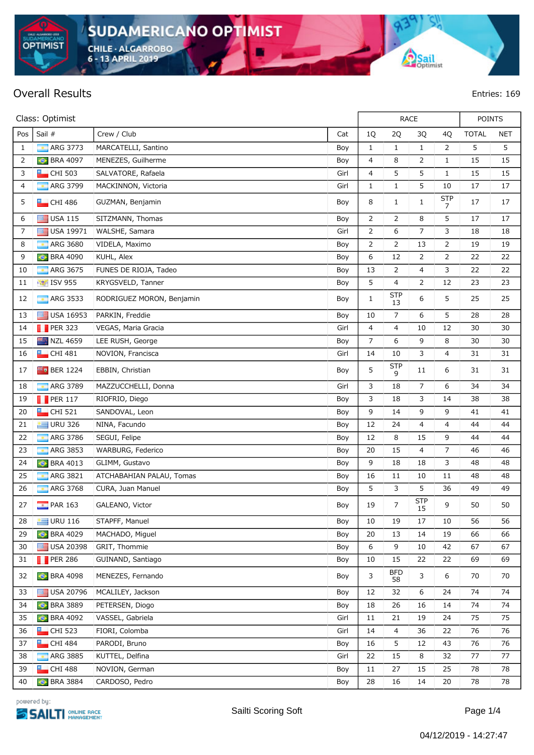**CHILE - ALGARROBO** 6 - 13 APRIL 2019

## **Overall Results Entries: 169**

**OPTIMIST** 

powered bu:



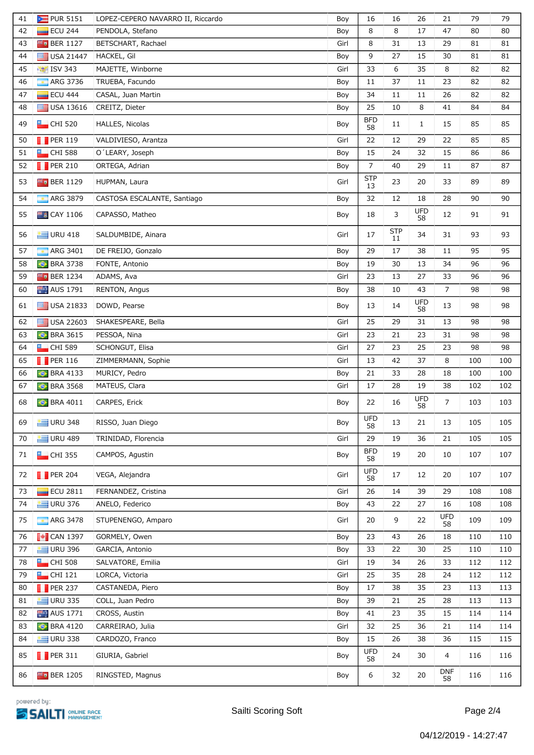| 41 | PUR 5151                          | LOPEZ-CEPERO NAVARRO II, Riccardo | Boy  | 16               | 16               | 26               | 21               | 79  | 79  |
|----|-----------------------------------|-----------------------------------|------|------------------|------------------|------------------|------------------|-----|-----|
| 42 | <b>ECU 244</b>                    | PENDOLA, Stefano                  | Boy  | 8                | 8                | 17               | 47               | 80  | 80  |
| 43 | $F_0$ BER 1127                    | BETSCHART, Rachael                | Girl | 8                | 31               | 13               | 29               | 81  | 81  |
| 44 | USA 21447                         | HACKEL, Gil                       | Boy  | 9                | 27               | 15               | 30               | 81  | 81  |
| 45 | <b>15V 343</b>                    | MAJETTE, Winborne                 | Girl | 33               | 6                | 35               | 8                | 82  | 82  |
| 46 | <b>ARG 3736</b>                   | TRUEBA, Facundo                   | Boy  | 11               | 37               | 11               | 23               | 82  | 82  |
| 47 | <b>ECU 444</b>                    | CASAL, Juan Martin                | Boy  | 34               | 11               | 11               | 26               | 82  | 82  |
| 48 | $\Box$ USA 13616                  | CREITZ, Dieter                    | Boy  | 25               | 10               | 8                | 41               | 84  | 84  |
| 49 | $\Box$ CHI 520                    | HALLES, Nicolas                   | Boy  | <b>BFD</b><br>58 | 11               | $\mathbf{1}$     | 15               | 85  | 85  |
| 50 | $\blacksquare$ PER 119            | VALDIVIESO, Arantza               | Girl | 22               | 12               | 29               | 22               | 85  | 85  |
| 51 | $\Box$ CHI 588                    | O'LEARY, Joseph                   | Boy  | 15               | 24               | 32               | 15               | 86  | 86  |
| 52 | $\blacksquare$ PER 210            | ORTEGA, Adrian                    | Boy  | $\overline{7}$   | 40               | 29               | 11               | 87  | 87  |
| 53 | $F_0$ BER 1129                    | HUPMAN, Laura                     | Girl | <b>STP</b><br>13 | 23               | 20               | 33               | 89  | 89  |
| 54 | <b>ARG 3879</b>                   | CASTOSA ESCALANTE, Santiago       | Boy  | 32               | 12               | 18               | 28               | 90  | 90  |
| 55 | <b>B</b> CAY 1106                 | CAPASSO, Matheo                   | Boy  | 18               | 3                | <b>UFD</b><br>58 | 12               | 91  | 91  |
| 56 | $U$ URU 418                       | SALDUMBIDE, Ainara                | Girl | 17               | <b>STP</b><br>11 | 34               | 31               | 93  | 93  |
| 57 | <b>ARG 3401</b>                   | DE FREIJO, Gonzalo                | Boy  | 29               | 17               | 38               | 11               | 95  | 95  |
| 58 | <b>BRA 3738</b>                   | FONTE, Antonio                    | Boy  | 19               | 30               | 13               | 34               | 96  | 96  |
| 59 | $F_0$ BER 1234                    | ADAMS, Ava                        | Girl | 23               | 13               | 27               | 33               | 96  | 96  |
| 60 | <b>AUS</b> 1791                   | RENTON, Angus                     | Boy  | 38               | 10               | 43               | $\overline{7}$   | 98  | 98  |
| 61 | $\Box$ USA 21833                  | DOWD, Pearse                      | Boy  | 13               | 14               | <b>UFD</b><br>58 | 13               | 98  | 98  |
| 62 | USA 22603                         | SHAKESPEARE, Bella                | Girl | 25               | 29               | 31               | 13               | 98  | 98  |
| 63 | <b>BRA 3615</b>                   | PESSOA, Nina                      | Girl | 23               | 21               | 23               | 31               | 98  | 98  |
| 64 | $\Box$ CHI 589                    | SCHONGUT, Elisa                   | Girl | 27               | 23               | 25               | 23               | 98  | 98  |
| 65 | $\blacksquare$ PER 116            | ZIMMERMANN, Sophie                | Girl | 13               | 42               | 37               | 8                | 100 | 100 |
| 66 | <b>BRA 4133</b>                   | MURICY, Pedro                     | Boy  | 21               | 33               | 28               | 18               | 100 | 100 |
| 67 | <b>BRA 3568</b>                   | MATEUS, Clara                     | Girl | 17               | 28               | 19               | 38               | 102 | 102 |
| 68 | <b>C</b> BRA 4011                 | CARPES, Erick                     | Boy  | 22               | 16               | <b>UFD</b><br>58 | 7                | 103 | 103 |
| 69 | $\equiv$ URU 348                  | RISSO, Juan Diego                 | Boy  | <b>UFD</b><br>58 | 13               | 21               | 13               | 105 | 105 |
| 70 | $U$ URU 489                       | TRINIDAD, Florencia               | Girl | 29               | 19               | 36               | 21               | 105 | 105 |
| 71 | $\Box$ CHI 355                    | CAMPOS, Agustin                   | Boy  | <b>BFD</b><br>58 | 19               | 20               | 10               | 107 | 107 |
| 72 | $\blacksquare$ PER 204            | VEGA, Alejandra                   | Girl | <b>UFD</b><br>58 | 17               | 12               | 20               | 107 | 107 |
| 73 | $\overline{\phantom{0}}$ ECU 2811 | FERNANDEZ, Cristina               | Girl | 26               | 14               | 39               | 29               | 108 | 108 |
| 74 | $U$ URU 376                       | ANELO, Federico                   | Boy  | 43               | 22               | 27               | 16               | 108 | 108 |
| 75 | <b>ARG 3478</b>                   | STUPENENGO, Amparo                | Girl | 20               | 9                | 22               | <b>UFD</b><br>58 | 109 | 109 |
| 76 | $\blacksquare$ CAN 1397           | GORMELY, Owen                     | Boy  | 23               | 43               | 26               | 18               | 110 | 110 |
| 77 | $U$ URU 396                       | GARCIA, Antonio                   | Boy  | 33               | 22               | 30               | 25               | 110 | 110 |
| 78 | $\Box$ CHI 508                    | SALVATORE, Emilia                 | Girl | 19               | 34               | 26               | 33               | 112 | 112 |
| 79 | $\Box$ CHI 121                    | LORCA, Victoria                   | Girl | 25               | 35               | 28               | 24               | 112 | 112 |
| 80 | $\blacksquare$ PER 237            | CASTAÑEDA, Piero                  | Boy  | 17               | 38               | 35               | 23               | 113 | 113 |
| 81 | $\equiv$ URU 335                  | COLL, Juan Pedro                  | Boy  | 39               | 21               | 25               | 28               | 113 | 113 |
| 82 | <b>AUS</b> 1771                   | CROSS, Austin                     | Boy  | 41               | 23               | 35               | 15               | 114 | 114 |
| 83 | <b>BRA 4120</b>                   | CARREIRAO, Julia                  | Girl | 32               | 25               | 36               | 21               | 114 | 114 |
| 84 | $U$ URU 338                       | CARDOZO, Franco                   | Boy  | 15               | 26               | 38               | 36               | 115 | 115 |
| 85 | $\blacksquare$ PER 311            | GIURIA, Gabriel                   | Boy  | <b>UFD</b><br>58 | 24               | 30               | 4                | 116 | 116 |
| 86 | $F_{\bullet}$ BER 1205            | RINGSTED, Magnus                  | Boy  | 6                | 32               | 20               | <b>DNF</b><br>58 | 116 | 116 |

powered by: **SAILTI ONLINE RACE**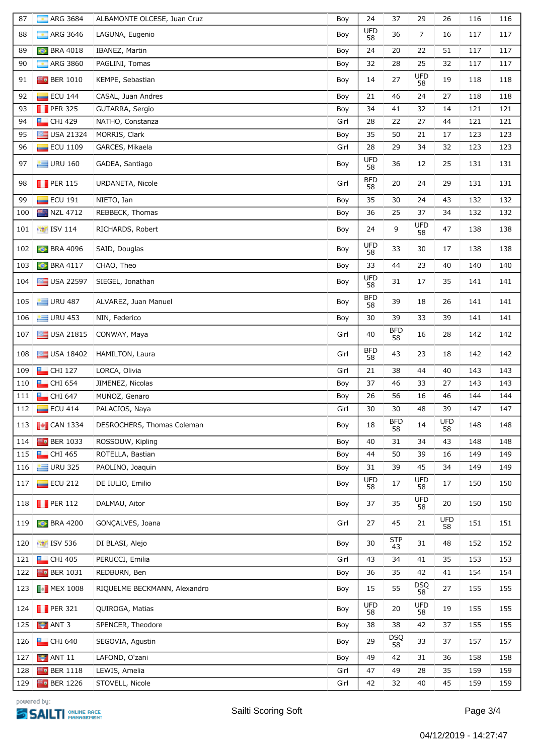| 87  | ARG 3684<br>т                                        | ALBAMONTE OLCESE, Juan Cruz  | Boy  | 24               | 37               | 29               | 26               | 116 | 116 |
|-----|------------------------------------------------------|------------------------------|------|------------------|------------------|------------------|------------------|-----|-----|
| 88  | <b>ARG 3646</b>                                      | LAGUNA, Eugenio              | Boy  | <b>UFD</b><br>58 | 36               | $\overline{7}$   | 16               | 117 | 117 |
| 89  | <b>BRA 4018</b><br>$\bullet$                         | IBANEZ, Martin               | Boy  | 24               | 20               | 22               | 51               | 117 | 117 |
| 90  | ARG 3860<br>$\overline{\phantom{a}}$                 | PAGLINI, Tomas               | Boy  | 32               | 28               | 25               | 32               | 117 | 117 |
| 91  | $F_0$ BER 1010                                       | KEMPE, Sebastian             | Boy  | 14               | 27               | UFD<br>58        | 19               | 118 | 118 |
| 92  | <b>ECU 144</b>                                       | CASAL, Juan Andres           | Boy  | 21               | 46               | 24               | 27               | 118 | 118 |
| 93  | $\blacksquare$ PER 325                               | GUTARRA, Sergio              | Boy  | 34               | 41               | 32               | 14               | 121 | 121 |
| 94  | $\Box$ CHI 429                                       | NATHO, Constanza             | Girl | 28               | 22               | 27               | 44               | 121 | 121 |
| 95  | USA 21324                                            | MORRIS, Clark                | Boy  | 35               | 50               | 21               | 17               | 123 | 123 |
| 96  | <b>ECU 1109</b>                                      | GARCES, Mikaela              | Girl | 28               | 29               | 34               | 32               | 123 | 123 |
| 97  | $U$ URU 160                                          | GADEA, Santiago              | Boy  | <b>UFD</b><br>58 | 36               | 12               | 25               | 131 | 131 |
| 98  | $\blacksquare$ PER 115                               | URDANETA, Nicole             | Girl | <b>BFD</b><br>58 | 20               | 24               | 29               | 131 | 131 |
| 99  | <b>ECU 191</b>                                       | NIETO, Ian                   | Boy  | 35               | 30               | 24               | 43               | 132 | 132 |
| 100 | <b>NZL 4712</b>                                      | REBBECK, Thomas              | Boy  | 36               | 25               | 37               | 34               | 132 | 132 |
| 101 | $\frac{1}{20}$ ISV 114                               | RICHARDS, Robert             | Boy  | 24               | 9                | <b>UFD</b><br>58 | 47               | 138 | 138 |
| 102 | <b>BRA 4096</b>                                      | SAID, Douglas                | Boy  | <b>UFD</b><br>58 | 33               | 30               | 17               | 138 | 138 |
| 103 | <b>C</b> BRA 4117                                    | CHAO, Theo                   | Boy  | 33               | 44               | 23               | 40               | 140 | 140 |
| 104 | USA 22597                                            | SIEGEL, Jonathan             | Boy  | <b>UFD</b><br>58 | 31               | 17               | 35               | 141 | 141 |
| 105 | $U$ URU 487                                          | ALVAREZ, Juan Manuel         | Boy  | <b>BFD</b><br>58 | 39               | 18               | 26               | 141 | 141 |
| 106 | $\equiv$ URU 453                                     | NIN, Federico                | Boy  | 30               | 39               | 33               | 39               | 141 | 141 |
| 107 | USA 21815                                            | CONWAY, Maya                 | Girl | 40               | <b>BFD</b><br>58 | 16               | 28               | 142 | 142 |
| 108 | $\Box$ USA 18402                                     | HAMILTON, Laura              | Girl | <b>BFD</b><br>58 | 43               | 23               | 18               | 142 | 142 |
| 109 | $\Box$ CHI 127                                       | LORCA, Olivia                | Girl | 21               | 38               | 44               | 40               | 143 | 143 |
| 110 | $\Box$ CHI 654                                       | JIMENEZ, Nicolas             | Boy  | 37               | 46               | 33               | 27               | 143 | 143 |
| 111 | $L$ CHI 647                                          | MUÑOZ, Genaro                | Boy  | 26               | 56               | 16               | 46               | 144 | 144 |
| 112 | <b>ECU 414</b>                                       | PALACIOS, Naya               | Girl | 30               | 30               | 48               | 39               | 147 | 147 |
| 113 | $\begin{array}{ c c }\n\hline\n\end{array}$ CAN 1334 | DESROCHERS, Thomas Coleman   | Boy  | 18               | <b>BFD</b><br>58 | 14               | <b>UFD</b><br>58 | 148 | 148 |
| 114 | $F$ <sub>0</sub> BER 1033                            | ROSSOUW, Kipling             | Boy  | 40               | 31               | 34               | 43               | 148 | 148 |
| 115 | $L$ CHI 465                                          | ROTELLA, Bastian             | Boy  | 44               | 50               | 39               | 16               | 149 | 149 |
| 116 | $U$ URU 325                                          | PAOLINO, Joaquin             | Boy  | 31               | 39               | 45               | 34               | 149 | 149 |
| 117 | ECU 212                                              | DE IULIO, Emilio             | Boy  | <b>UFD</b><br>58 | 17               | UFD<br>58        | 17               | 150 | 150 |
| 118 | $\blacksquare$ PER 112                               | DALMAU, Aitor                | Boy  | 37               | 35               | <b>UFD</b><br>58 | 20               | 150 | 150 |
| 119 | <b>BRA 4200</b>                                      | GONCALVES, Joana             | Girl | 27               | 45               | 21               | <b>UFD</b><br>58 | 151 | 151 |
| 120 | <b>15V 536</b>                                       | DI BLASI, Alejo              | Boy  | 30               | <b>STP</b><br>43 | 31               | 48               | 152 | 152 |
| 121 | $\blacksquare$ CHI 405                               | PERUCCI, Emilia              | Girl | 43               | 34               | 41               | 35               | 153 | 153 |
| 122 | $Fe$ BER 1031                                        | REDBURN, Ben                 | Boy  | 36               | 35               | 42               | 41               | 154 | 154 |
| 123 | $\blacksquare$ MEX 1008                              | RIQUELME BECKMANN, Alexandro | Boy  | 15               | 55               | <b>DSQ</b><br>58 | 27               | 155 | 155 |
| 124 | $\blacksquare$ PER 321                               | QUIROGA, Matias              | Boy  | <b>UFD</b><br>58 | 20               | <b>UFD</b><br>58 | 19               | 155 | 155 |
| 125 | $\blacksquare$ ANT 3                                 | SPENCER, Theodore            | Boy  | 38               | 38               | 42               | 37               | 155 | 155 |
| 126 | $\Box$ CHI 640                                       | SEGOVIA, Agustin             | Boy  | 29               | <b>DSQ</b><br>58 | 33               | 37               | 157 | 157 |
| 127 | $\blacktriangleright$ ANT 11                         | LAFOND, O'zani               | Boy  | 49               | 42               | 31               | 36               | 158 | 158 |
| 128 | $F_0$ BER 1118                                       | LEWIS, Amelia                | Girl | 47               | 49               | 28               | 35               | 159 | 159 |
| 129 | $E_0$ BER 1226                                       | STOVELL, Nicole              | Girl | 42               | 32               | 40               | 45               | 159 | 159 |

powered by: